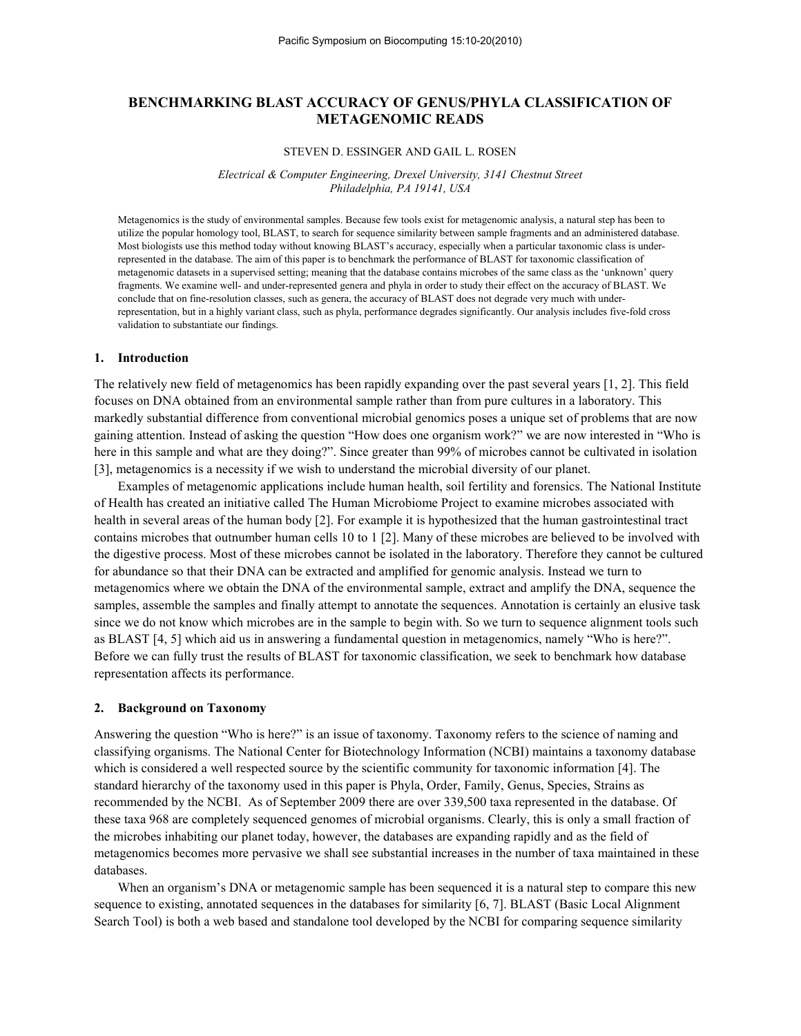# **BENCHMARKING BLAST ACCURACY OF GENUS/PHYLA CLASSIFICATION OF METAGENOMIC READS**

#### STEVEN D. ESSINGER AND GAIL L. ROSEN

*Electrical & Computer Engineering, Drexel University, 3141 Chestnut Street Philadelphia, PA 19141, USA* 

Metagenomics is the study of environmental samples. Because few tools exist for metagenomic analysis, a natural step has been to utilize the popular homology tool, BLAST, to search for sequence similarity between sample fragments and an administered database. Most biologists use this method today without knowing BLAST's accuracy, especially when a particular taxonomic class is underrepresented in the database. The aim of this paper is to benchmark the performance of BLAST for taxonomic classification of metagenomic datasets in a supervised setting; meaning that the database contains microbes of the same class as the 'unknown' query fragments. We examine well- and under-represented genera and phyla in order to study their effect on the accuracy of BLAST. We conclude that on fine-resolution classes, such as genera, the accuracy of BLAST does not degrade very much with underrepresentation, but in a highly variant class, such as phyla, performance degrades significantly. Our analysis includes five-fold cross validation to substantiate our findings.

#### **1. Introduction**

The relatively new field of metagenomics has been rapidly expanding over the past several years [1, 2]. This field focuses on DNA obtained from an environmental sample rather than from pure cultures in a laboratory. This markedly substantial difference from conventional microbial genomics poses a unique set of problems that are now gaining attention. Instead of asking the question "How does one organism work?" we are now interested in "Who is here in this sample and what are they doing?". Since greater than 99% of microbes cannot be cultivated in isolation [3], metagenomics is a necessity if we wish to understand the microbial diversity of our planet.

 Examples of metagenomic applications include human health, soil fertility and forensics. The National Institute of Health has created an initiative called The Human Microbiome Project to examine microbes associated with health in several areas of the human body [2]. For example it is hypothesized that the human gastrointestinal tract contains microbes that outnumber human cells 10 to 1 [2]. Many of these microbes are believed to be involved with the digestive process. Most of these microbes cannot be isolated in the laboratory. Therefore they cannot be cultured for abundance so that their DNA can be extracted and amplified for genomic analysis. Instead we turn to metagenomics where we obtain the DNA of the environmental sample, extract and amplify the DNA, sequence the samples, assemble the samples and finally attempt to annotate the sequences. Annotation is certainly an elusive task since we do not know which microbes are in the sample to begin with. So we turn to sequence alignment tools such as BLAST [4, 5] which aid us in answering a fundamental question in metagenomics, namely "Who is here?". Before we can fully trust the results of BLAST for taxonomic classification, we seek to benchmark how database representation affects its performance.

#### **2. Background on Taxonomy**

Answering the question "Who is here?" is an issue of taxonomy. Taxonomy refers to the science of naming and classifying organisms. The National Center for Biotechnology Information (NCBI) maintains a taxonomy database which is considered a well respected source by the scientific community for taxonomic information [4]. The standard hierarchy of the taxonomy used in this paper is Phyla, Order, Family, Genus, Species, Strains as recommended by the NCBI. As of September 2009 there are over 339,500 taxa represented in the database. Of these taxa 968 are completely sequenced genomes of microbial organisms. Clearly, this is only a small fraction of the microbes inhabiting our planet today, however, the databases are expanding rapidly and as the field of metagenomics becomes more pervasive we shall see substantial increases in the number of taxa maintained in these databases.

When an organism's DNA or metagenomic sample has been sequenced it is a natural step to compare this new sequence to existing, annotated sequences in the databases for similarity [6, 7]. BLAST (Basic Local Alignment Search Tool) is both a web based and standalone tool developed by the NCBI for comparing sequence similarity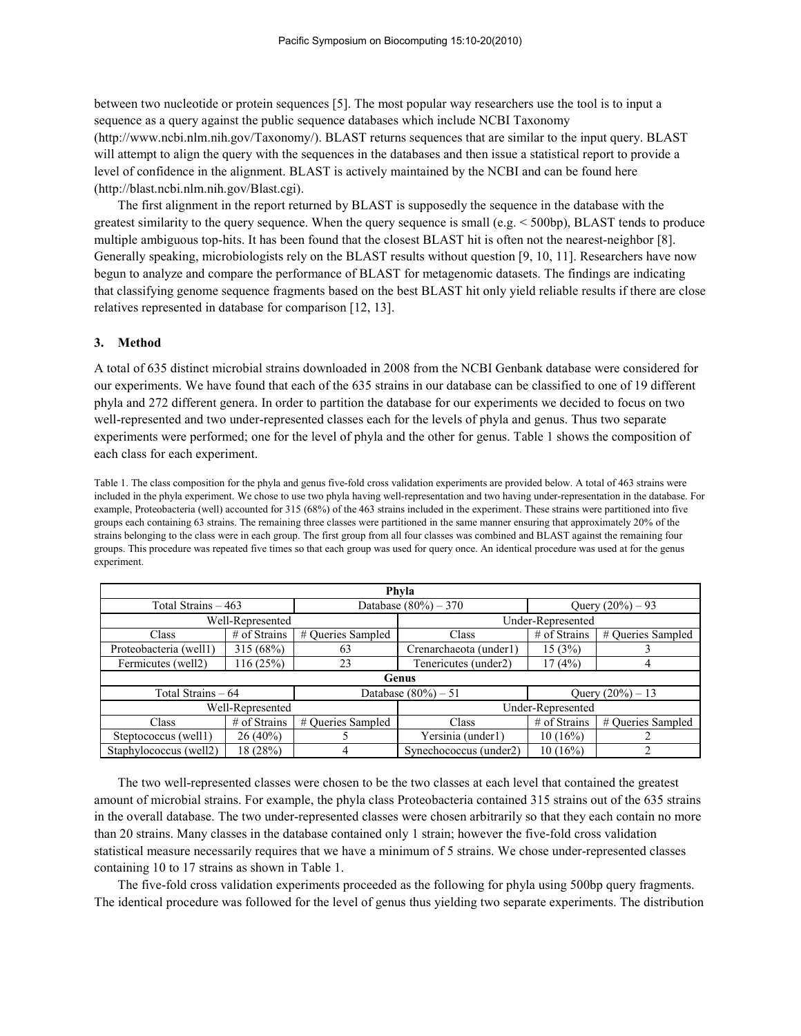between two nucleotide or protein sequences [5]. The most popular way researchers use the tool is to input a sequence as a query against the public sequence databases which include NCBI Taxonomy (http://www.ncbi.nlm.nih.gov/Taxonomy/). BLAST returns sequences that are similar to the input query. BLAST will attempt to align the query with the sequences in the databases and then issue a statistical report to provide a level of confidence in the alignment. BLAST is actively maintained by the NCBI and can be found here (http://blast.ncbi.nlm.nih.gov/Blast.cgi).

 The first alignment in the report returned by BLAST is supposedly the sequence in the database with the greatest similarity to the query sequence. When the query sequence is small (e.g.  $<$  500bp), BLAST tends to produce multiple ambiguous top-hits. It has been found that the closest BLAST hit is often not the nearest-neighbor [8]. Generally speaking, microbiologists rely on the BLAST results without question [9, 10, 11]. Researchers have now begun to analyze and compare the performance of BLAST for metagenomic datasets. The findings are indicating that classifying genome sequence fragments based on the best BLAST hit only yield reliable results if there are close relatives represented in database for comparison [12, 13].

### **3. Method**

A total of 635 distinct microbial strains downloaded in 2008 from the NCBI Genbank database were considered for our experiments. We have found that each of the 635 strains in our database can be classified to one of 19 different phyla and 272 different genera. In order to partition the database for our experiments we decided to focus on two well-represented and two under-represented classes each for the levels of phyla and genus. Thus two separate experiments were performed; one for the level of phyla and the other for genus. Table 1 shows the composition of each class for each experiment.

Table 1. The class composition for the phyla and genus five-fold cross validation experiments are provided below. A total of 463 strains were included in the phyla experiment. We chose to use two phyla having well-representation and two having under-representation in the database. For example, Proteobacteria (well) accounted for 315 (68%) of the 463 strains included in the experiment. These strains were partitioned into five groups each containing 63 strains. The remaining three classes were partitioned in the same manner ensuring that approximately 20% of the strains belonging to the class were in each group. The first group from all four classes was combined and BLAST against the remaining four groups. This procedure was repeated five times so that each group was used for query once. An identical procedure was used at for the genus experiment.

| Phyla                  |                  |                              |                                               |                     |                   |  |  |  |
|------------------------|------------------|------------------------------|-----------------------------------------------|---------------------|-------------------|--|--|--|
| Total Strains $-463$   |                  |                              | Database $(80\%) - 370$                       | Query $(20\%) - 93$ |                   |  |  |  |
| Well-Represented       |                  |                              | Under-Represented                             |                     |                   |  |  |  |
| Class                  | $#$ of Strains   | # Queries Sampled            | Class                                         | $#$ of Strains      | # Queries Sampled |  |  |  |
| Proteobacteria (well1) | 315 (68%)        | Crenarchaeota (under1)<br>63 |                                               | 15(3%)              |                   |  |  |  |
| Fermicutes (well2)     | 116 (25%)        | 23<br>Tenericutes (under2)   |                                               | 17 (4%)             | 4                 |  |  |  |
|                        |                  |                              | Genus                                         |                     |                   |  |  |  |
| Total Strains $-64$    |                  |                              | Database $(80\%) - 51$<br>Query $(20\%) - 13$ |                     |                   |  |  |  |
|                        | Well-Represented |                              | Under-Represented                             |                     |                   |  |  |  |
| Class                  | $#$ of Strains   | # Queries Sampled            | <b>Class</b>                                  | $#$ of Strains      | # Queries Sampled |  |  |  |
| Steptococcus (well1)   | $26(40\%)$       |                              | Yersinia (under1)                             | 10(16%)             |                   |  |  |  |
| Staphylococcus (well2) | 18 (28%)         | 4                            | 10(16%)<br>Synechococcus (under2)             |                     |                   |  |  |  |

 The two well-represented classes were chosen to be the two classes at each level that contained the greatest amount of microbial strains. For example, the phyla class Proteobacteria contained 315 strains out of the 635 strains in the overall database. The two under-represented classes were chosen arbitrarily so that they each contain no more than 20 strains. Many classes in the database contained only 1 strain; however the five-fold cross validation statistical measure necessarily requires that we have a minimum of 5 strains. We chose under-represented classes containing 10 to 17 strains as shown in Table 1.

 The five-fold cross validation experiments proceeded as the following for phyla using 500bp query fragments. The identical procedure was followed for the level of genus thus yielding two separate experiments. The distribution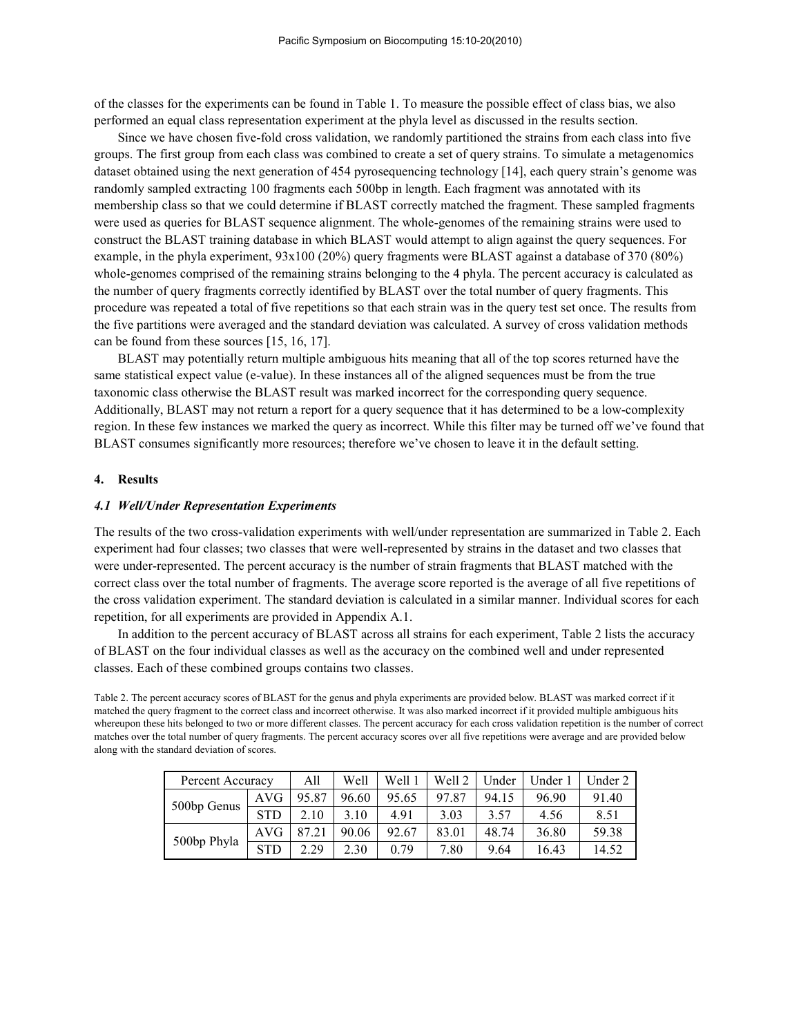of the classes for the experiments can be found in Table 1. To measure the possible effect of class bias, we also performed an equal class representation experiment at the phyla level as discussed in the results section.

 Since we have chosen five-fold cross validation, we randomly partitioned the strains from each class into five groups. The first group from each class was combined to create a set of query strains. To simulate a metagenomics dataset obtained using the next generation of 454 pyrosequencing technology [14], each query strain's genome was randomly sampled extracting 100 fragments each 500bp in length. Each fragment was annotated with its membership class so that we could determine if BLAST correctly matched the fragment. These sampled fragments were used as queries for BLAST sequence alignment. The whole-genomes of the remaining strains were used to construct the BLAST training database in which BLAST would attempt to align against the query sequences. For example, in the phyla experiment, 93x100 (20%) query fragments were BLAST against a database of 370 (80%) whole-genomes comprised of the remaining strains belonging to the 4 phyla. The percent accuracy is calculated as the number of query fragments correctly identified by BLAST over the total number of query fragments. This procedure was repeated a total of five repetitions so that each strain was in the query test set once. The results from the five partitions were averaged and the standard deviation was calculated. A survey of cross validation methods can be found from these sources [15, 16, 17].

 BLAST may potentially return multiple ambiguous hits meaning that all of the top scores returned have the same statistical expect value (e-value). In these instances all of the aligned sequences must be from the true taxonomic class otherwise the BLAST result was marked incorrect for the corresponding query sequence. Additionally, BLAST may not return a report for a query sequence that it has determined to be a low-complexity region. In these few instances we marked the query as incorrect. While this filter may be turned off we've found that BLAST consumes significantly more resources; therefore we've chosen to leave it in the default setting.

#### **4. Results**

#### *4.1 Well/Under Representation Experiments*

The results of the two cross-validation experiments with well/under representation are summarized in Table 2. Each experiment had four classes; two classes that were well-represented by strains in the dataset and two classes that were under-represented. The percent accuracy is the number of strain fragments that BLAST matched with the correct class over the total number of fragments. The average score reported is the average of all five repetitions of the cross validation experiment. The standard deviation is calculated in a similar manner. Individual scores for each repetition, for all experiments are provided in Appendix A.1.

 In addition to the percent accuracy of BLAST across all strains for each experiment, Table 2 lists the accuracy of BLAST on the four individual classes as well as the accuracy on the combined well and under represented classes. Each of these combined groups contains two classes.

Table 2. The percent accuracy scores of BLAST for the genus and phyla experiments are provided below. BLAST was marked correct if it matched the query fragment to the correct class and incorrect otherwise. It was also marked incorrect if it provided multiple ambiguous hits whereupon these hits belonged to two or more different classes. The percent accuracy for each cross validation repetition is the number of correct matches over the total number of query fragments. The percent accuracy scores over all five repetitions were average and are provided below along with the standard deviation of scores.

| Percent Accuracy |            | All   | Well  | Well 1 | Well 2 | Under | Under | Under 2 |
|------------------|------------|-------|-------|--------|--------|-------|-------|---------|
| 500bp Genus      | AVG        | 95.87 | 96.60 | 95.65  | 97.87  | 94.15 | 96.90 | 91.40   |
|                  | <b>STD</b> | 2.10  | 3.10  | 4.91   | 3.03   | 3.57  | 4.56  | 8.51    |
| 500bp Phyla      | AVG        | 87.21 | 90.06 | 92.67  | 83.01  | 48.74 | 36.80 | 59.38   |
|                  | <b>STD</b> | 2.29  | 2.30  | 0.79   | 7.80   | 9.64  | 16.43 | 14.52   |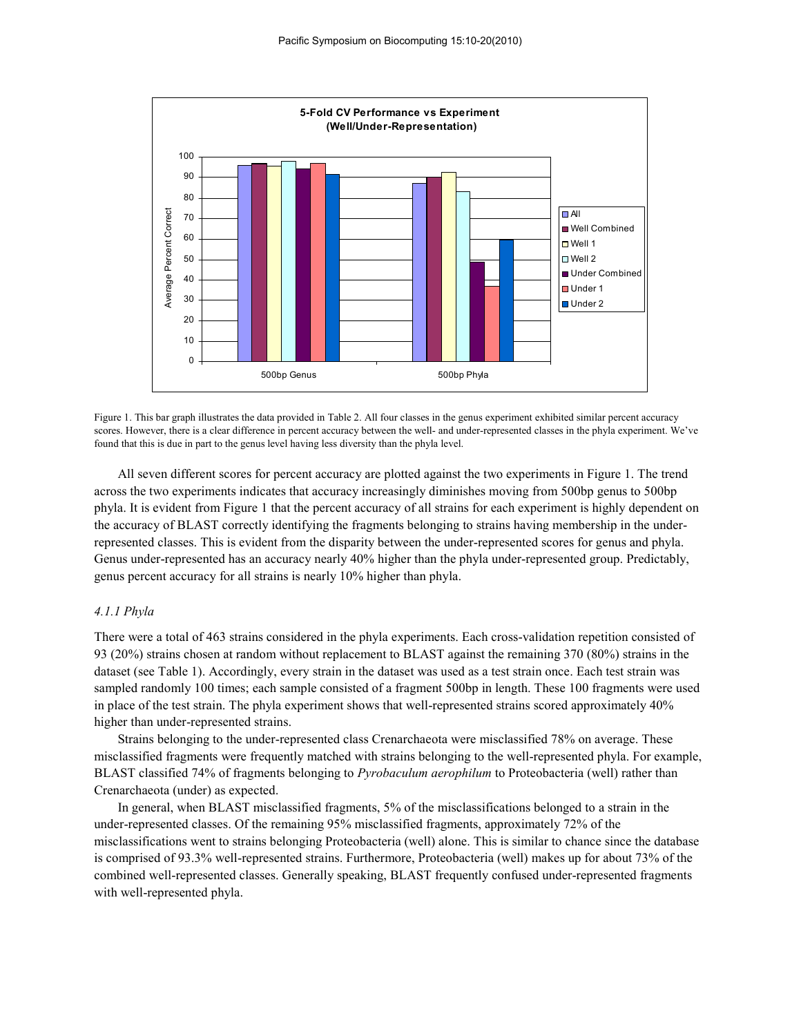

Figure 1. This bar graph illustrates the data provided in Table 2. All four classes in the genus experiment exhibited similar percent accuracy scores. However, there is a clear difference in percent accuracy between the well- and under-represented classes in the phyla experiment. We've found that this is due in part to the genus level having less diversity than the phyla level.

All seven different scores for percent accuracy are plotted against the two experiments in Figure 1. The trend across the two experiments indicates that accuracy increasingly diminishes moving from 500bp genus to 500bp phyla. It is evident from Figure 1 that the percent accuracy of all strains for each experiment is highly dependent on the accuracy of BLAST correctly identifying the fragments belonging to strains having membership in the underrepresented classes. This is evident from the disparity between the under-represented scores for genus and phyla. Genus under-represented has an accuracy nearly 40% higher than the phyla under-represented group. Predictably, genus percent accuracy for all strains is nearly 10% higher than phyla.

## *4.1.1 Phyla*

There were a total of 463 strains considered in the phyla experiments. Each cross-validation repetition consisted of 93 (20%) strains chosen at random without replacement to BLAST against the remaining 370 (80%) strains in the dataset (see Table 1). Accordingly, every strain in the dataset was used as a test strain once. Each test strain was sampled randomly 100 times; each sample consisted of a fragment 500bp in length. These 100 fragments were used in place of the test strain. The phyla experiment shows that well-represented strains scored approximately 40% higher than under-represented strains.

 Strains belonging to the under-represented class Crenarchaeota were misclassified 78% on average. These misclassified fragments were frequently matched with strains belonging to the well-represented phyla. For example, BLAST classified 74% of fragments belonging to *Pyrobaculum aerophilum* to Proteobacteria (well) rather than Crenarchaeota (under) as expected.

 In general, when BLAST misclassified fragments, 5% of the misclassifications belonged to a strain in the under-represented classes. Of the remaining 95% misclassified fragments, approximately 72% of the misclassifications went to strains belonging Proteobacteria (well) alone. This is similar to chance since the database is comprised of 93.3% well-represented strains. Furthermore, Proteobacteria (well) makes up for about 73% of the combined well-represented classes. Generally speaking, BLAST frequently confused under-represented fragments with well-represented phyla.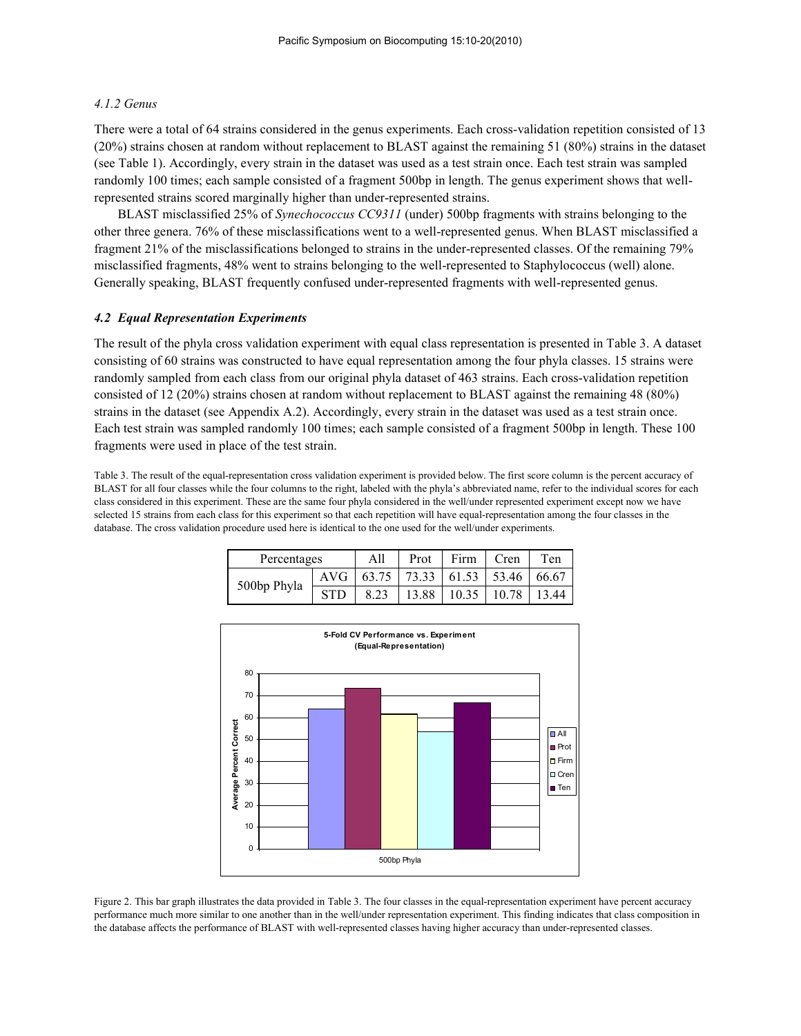## *4.1.2 Genus*

There were a total of 64 strains considered in the genus experiments. Each cross-validation repetition consisted of 13 (20%) strains chosen at random without replacement to BLAST against the remaining 51 (80%) strains in the dataset (see Table 1). Accordingly, every strain in the dataset was used as a test strain once. Each test strain was sampled randomly 100 times; each sample consisted of a fragment 500bp in length. The genus experiment shows that wellrepresented strains scored marginally higher than under-represented strains.

 BLAST misclassified 25% of *Synechococcus CC9311* (under) 500bp fragments with strains belonging to the other three genera. 76% of these misclassifications went to a well-represented genus. When BLAST misclassified a fragment 21% of the misclassifications belonged to strains in the under-represented classes. Of the remaining 79% misclassified fragments, 48% went to strains belonging to the well-represented to Staphylococcus (well) alone. Generally speaking, BLAST frequently confused under-represented fragments with well-represented genus.

### *4.2 Equal Representation Experiments*

The result of the phyla cross validation experiment with equal class representation is presented in Table 3. A dataset consisting of 60 strains was constructed to have equal representation among the four phyla classes. 15 strains were randomly sampled from each class from our original phyla dataset of 463 strains. Each cross-validation repetition consisted of 12 (20%) strains chosen at random without replacement to BLAST against the remaining 48 (80%) strains in the dataset (see Appendix A.2). Accordingly, every strain in the dataset was used as a test strain once. Each test strain was sampled randomly 100 times; each sample consisted of a fragment 500bp in length. These 100 fragments were used in place of the test strain.

Table 3. The result of the equal-representation cross validation experiment is provided below. The first score column is the percent accuracy of BLAST for all four classes while the four columns to the right, labeled with the phyla's abbreviated name, refer to the individual scores for each class considered in this experiment. These are the same four phyla considered in the well/under represented experiment except now we have selected 15 strains from each class for this experiment so that each repetition will have equal-representation among the four classes in the database. The cross validation procedure used here is identical to the one used for the well/under experiments.

| Percentages |            | All   | Prot  | Firm  | Cren                          | Ten   |
|-------------|------------|-------|-------|-------|-------------------------------|-------|
| 500bp Phyla | AVG        | 63.75 |       |       | 73.33   61.53   53.46   66.67 |       |
|             | <b>STD</b> | 8.23  | 13.88 | 10.35 | 10.78                         | 13.44 |



Figure 2. This bar graph illustrates the data provided in Table 3. The four classes in the equal-representation experiment have percent accuracy performance much more similar to one another than in the well/under representation experiment. This finding indicates that class composition in the database affects the performance of BLAST with well-represented classes having higher accuracy than under-represented classes.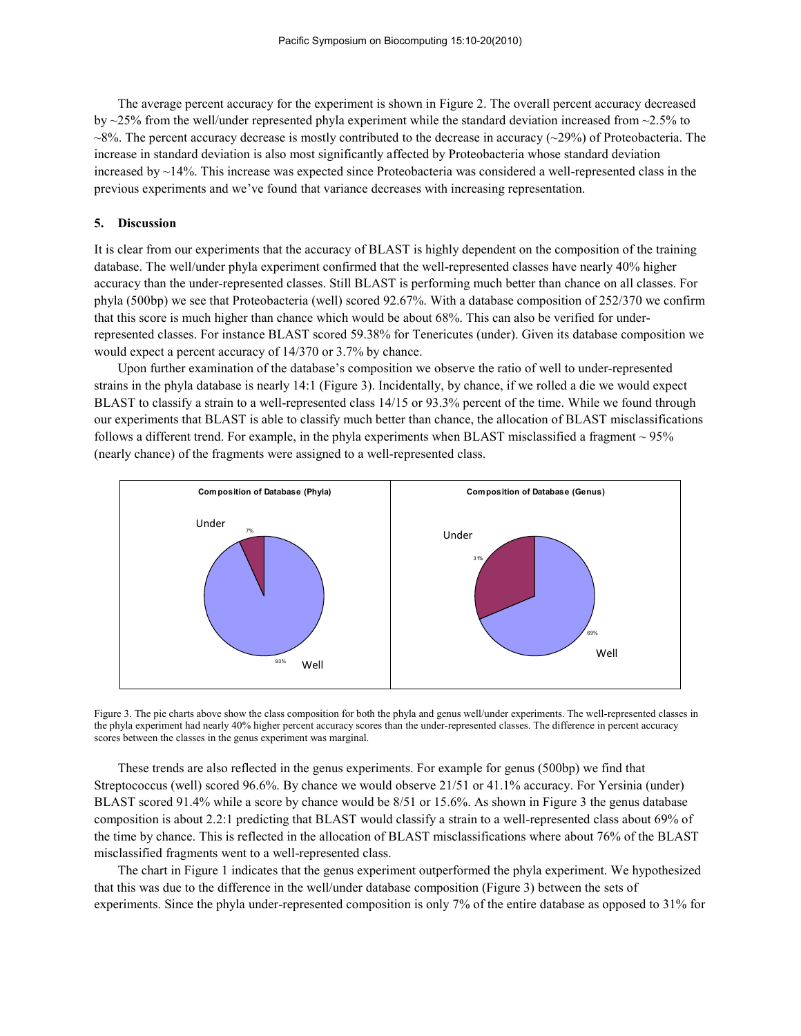The average percent accuracy for the experiment is shown in Figure 2. The overall percent accuracy decreased by ~25% from the well/under represented phyla experiment while the standard deviation increased from ~2.5% to  $\sim$ 8%. The percent accuracy decrease is mostly contributed to the decrease in accuracy ( $\sim$ 29%) of Proteobacteria. The increase in standard deviation is also most significantly affected by Proteobacteria whose standard deviation increased by ~14%. This increase was expected since Proteobacteria was considered a well-represented class in the previous experiments and we've found that variance decreases with increasing representation.

## **5. Discussion**

It is clear from our experiments that the accuracy of BLAST is highly dependent on the composition of the training database. The well/under phyla experiment confirmed that the well-represented classes have nearly 40% higher accuracy than the under-represented classes. Still BLAST is performing much better than chance on all classes. For phyla (500bp) we see that Proteobacteria (well) scored 92.67%. With a database composition of 252/370 we confirm that this score is much higher than chance which would be about 68%. This can also be verified for underrepresented classes. For instance BLAST scored 59.38% for Tenericutes (under). Given its database composition we would expect a percent accuracy of 14/370 or 3.7% by chance.

 Upon further examination of the database's composition we observe the ratio of well to under-represented strains in the phyla database is nearly 14:1 (Figure 3). Incidentally, by chance, if we rolled a die we would expect BLAST to classify a strain to a well-represented class 14/15 or 93.3% percent of the time. While we found through our experiments that BLAST is able to classify much better than chance, the allocation of BLAST misclassifications follows a different trend. For example, in the phyla experiments when BLAST misclassified a fragment  $\sim$  95% (nearly chance) of the fragments were assigned to a well-represented class.



Figure 3. The pie charts above show the class composition for both the phyla and genus well/under experiments. The well-represented classes in the phyla experiment had nearly 40% higher percent accuracy scores than the under-represented classes. The difference in percent accuracy scores between the classes in the genus experiment was marginal.

These trends are also reflected in the genus experiments. For example for genus (500bp) we find that Streptococcus (well) scored 96.6%. By chance we would observe 21/51 or 41.1% accuracy. For Yersinia (under) BLAST scored 91.4% while a score by chance would be 8/51 or 15.6%. As shown in Figure 3 the genus database composition is about 2.2:1 predicting that BLAST would classify a strain to a well-represented class about 69% of the time by chance. This is reflected in the allocation of BLAST misclassifications where about 76% of the BLAST misclassified fragments went to a well-represented class.

 The chart in Figure 1 indicates that the genus experiment outperformed the phyla experiment. We hypothesized that this was due to the difference in the well/under database composition (Figure 3) between the sets of experiments. Since the phyla under-represented composition is only 7% of the entire database as opposed to 31% for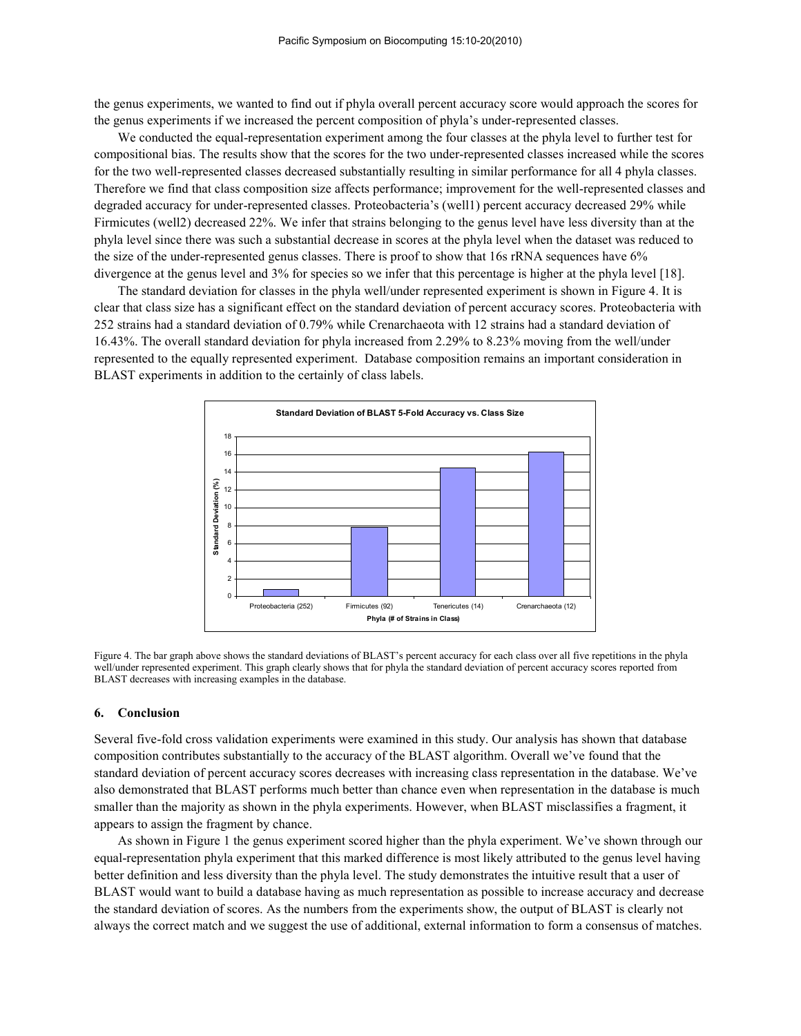the genus experiments, we wanted to find out if phyla overall percent accuracy score would approach the scores for the genus experiments if we increased the percent composition of phyla's under-represented classes.

 We conducted the equal-representation experiment among the four classes at the phyla level to further test for compositional bias. The results show that the scores for the two under-represented classes increased while the scores for the two well-represented classes decreased substantially resulting in similar performance for all 4 phyla classes. Therefore we find that class composition size affects performance; improvement for the well-represented classes and degraded accuracy for under-represented classes. Proteobacteria's (well1) percent accuracy decreased 29% while Firmicutes (well2) decreased 22%. We infer that strains belonging to the genus level have less diversity than at the phyla level since there was such a substantial decrease in scores at the phyla level when the dataset was reduced to the size of the under-represented genus classes. There is proof to show that 16s rRNA sequences have 6% divergence at the genus level and 3% for species so we infer that this percentage is higher at the phyla level [18].

 The standard deviation for classes in the phyla well/under represented experiment is shown in Figure 4. It is clear that class size has a significant effect on the standard deviation of percent accuracy scores. Proteobacteria with 252 strains had a standard deviation of 0.79% while Crenarchaeota with 12 strains had a standard deviation of 16.43%. The overall standard deviation for phyla increased from 2.29% to 8.23% moving from the well/under represented to the equally represented experiment. Database composition remains an important consideration in BLAST experiments in addition to the certainly of class labels.



Figure 4. The bar graph above shows the standard deviations of BLAST's percent accuracy for each class over all five repetitions in the phyla well/under represented experiment. This graph clearly shows that for phyla the standard deviation of percent accuracy scores reported from BLAST decreases with increasing examples in the database.

### **6. Conclusion**

Several five-fold cross validation experiments were examined in this study. Our analysis has shown that database composition contributes substantially to the accuracy of the BLAST algorithm. Overall we've found that the standard deviation of percent accuracy scores decreases with increasing class representation in the database. We've also demonstrated that BLAST performs much better than chance even when representation in the database is much smaller than the majority as shown in the phyla experiments. However, when BLAST misclassifies a fragment, it appears to assign the fragment by chance.

As shown in Figure 1 the genus experiment scored higher than the phyla experiment. We've shown through our equal-representation phyla experiment that this marked difference is most likely attributed to the genus level having better definition and less diversity than the phyla level. The study demonstrates the intuitive result that a user of BLAST would want to build a database having as much representation as possible to increase accuracy and decrease the standard deviation of scores. As the numbers from the experiments show, the output of BLAST is clearly not always the correct match and we suggest the use of additional, external information to form a consensus of matches.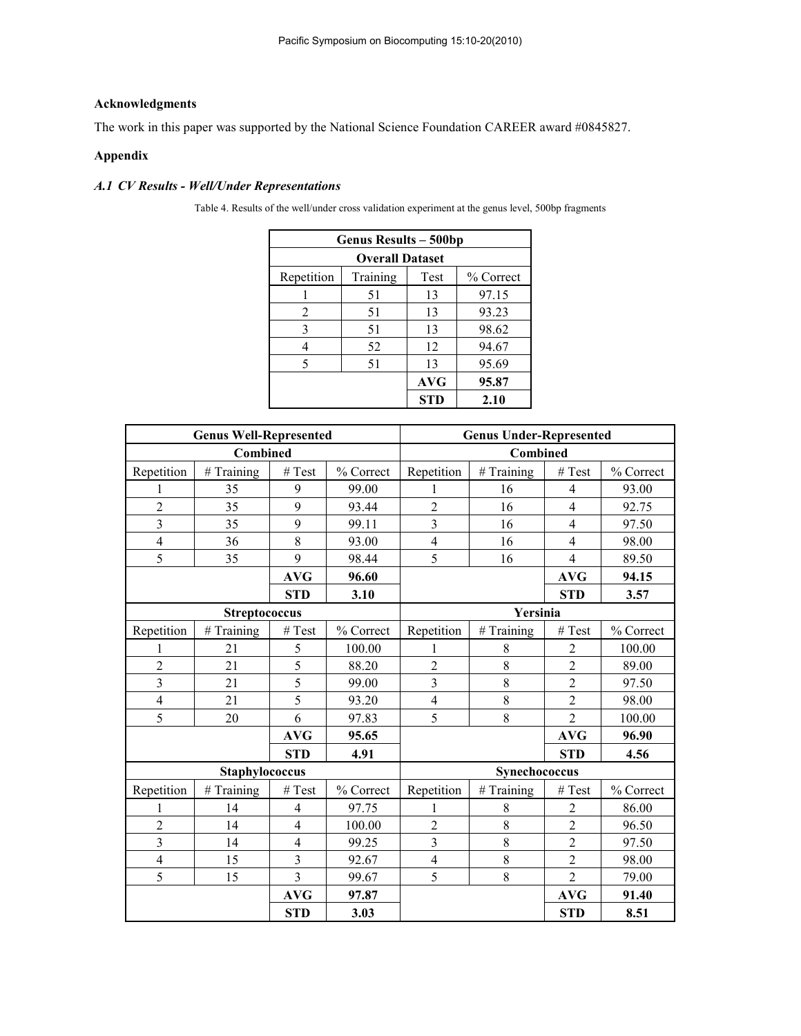# **Acknowledgments**

The work in this paper was supported by the National Science Foundation CAREER award #0845827.

# **Appendix**

# *A.1 CV Results - Well/Under Representations*

Table 4. Results of the well/under cross validation experiment at the genus level, 500bp fragments

| Genus Results – 500bp                       |    |            |       |  |  |  |  |
|---------------------------------------------|----|------------|-------|--|--|--|--|
| <b>Overall Dataset</b>                      |    |            |       |  |  |  |  |
| Training<br>% Correct<br>Test<br>Repetition |    |            |       |  |  |  |  |
|                                             | 51 | 13         | 97.15 |  |  |  |  |
| 2                                           | 51 | 13         | 93.23 |  |  |  |  |
| 3                                           | 51 | 13         | 98.62 |  |  |  |  |
| 4                                           | 52 | 12         | 94.67 |  |  |  |  |
| 5                                           | 51 | 13         | 95.69 |  |  |  |  |
|                                             |    | <b>AVG</b> | 95.87 |  |  |  |  |
|                                             |    | <b>STD</b> | 2.10  |  |  |  |  |

|                      | <b>Genus Well-Represented</b> |                |             |                | <b>Genus Under-Represented</b> |                |             |  |
|----------------------|-------------------------------|----------------|-------------|----------------|--------------------------------|----------------|-------------|--|
|                      | Combined                      |                |             |                | Combined                       |                |             |  |
| Repetition           | # Training                    | # Test         | $%$ Correct | Repetition     | # Training                     | # Test         | % Correct   |  |
| 1                    | 35                            | 9              | 99.00       | 1              | 16                             | $\overline{4}$ | 93.00       |  |
| $\overline{2}$       | 35                            | 9              | 93.44       | $\overline{2}$ | 16                             | $\overline{4}$ | 92.75       |  |
| $\overline{3}$       | 35                            | 9              | 99.11       | 3              | 16                             | $\overline{4}$ | 97.50       |  |
| $\overline{4}$       | 36                            | 8              | 93.00       | $\overline{4}$ | 16                             | $\overline{4}$ | 98.00       |  |
| 5                    | 35                            | 9              | 98.44       | 5              | 16                             | $\overline{4}$ | 89.50       |  |
|                      |                               | <b>AVG</b>     | 96.60       |                |                                | <b>AVG</b>     | 94.15       |  |
|                      |                               | <b>STD</b>     | 3.10        |                |                                | <b>STD</b>     | 3.57        |  |
| <b>Streptococcus</b> |                               |                |             | Yersinia       |                                |                |             |  |
| Repetition           | # Training                    | # Test         | % Correct   | Repetition     | $#$ Training                   | # Test         | % Correct   |  |
| 1                    | 21                            | 5              | 100.00      | 1              | 8                              | $\overline{2}$ | 100.00      |  |
| $\overline{2}$       | 21                            | 5              | 88.20       | $\overline{c}$ | $\,$ $\,$                      | $\overline{2}$ | 89.00       |  |
| $\overline{3}$       | 21                            | 5              | 99.00       | 3              | 8                              | $\overline{2}$ | 97.50       |  |
| $\overline{4}$       | 21                            | 5              | 93.20       | $\overline{4}$ | $\,8\,$                        | $\overline{2}$ | 98.00       |  |
| 5                    | 20                            | 6              | 97.83       | 5              | $\,8\,$                        | $\overline{2}$ | 100.00      |  |
|                      |                               | <b>AVG</b>     | 95.65       |                |                                | <b>AVG</b>     | 96.90       |  |
|                      |                               | <b>STD</b>     | 4.91        |                |                                | <b>STD</b>     | 4.56        |  |
|                      | Staphylococcus                |                |             | Synechococcus  |                                |                |             |  |
| Repetition           | # Training                    | # Test         | % Correct   | Repetition     | # Training                     | # Test         | $%$ Correct |  |
| 1                    | 14                            | $\overline{4}$ | 97.75       | 1              | 8                              | $\overline{2}$ | 86.00       |  |
| $\overline{2}$       | 14                            | $\overline{4}$ | 100.00      | $\overline{c}$ | 8                              | $\overline{2}$ | 96.50       |  |
| $\overline{3}$       | 14                            | $\overline{4}$ | 99.25       | 3              | 8                              | $\overline{2}$ | 97.50       |  |
| $\overline{4}$       | 15                            | 3              | 92.67       | 4              | $\,8\,$                        | $\overline{2}$ | 98.00       |  |
| 5                    | 15                            | $\overline{3}$ | 99.67       | 5              | 8                              | $\overline{2}$ | 79.00       |  |
|                      |                               | <b>AVG</b>     | 97.87       |                |                                | <b>AVG</b>     | 91.40       |  |
|                      |                               | <b>STD</b>     | 3.03        |                |                                | <b>STD</b>     | 8.51        |  |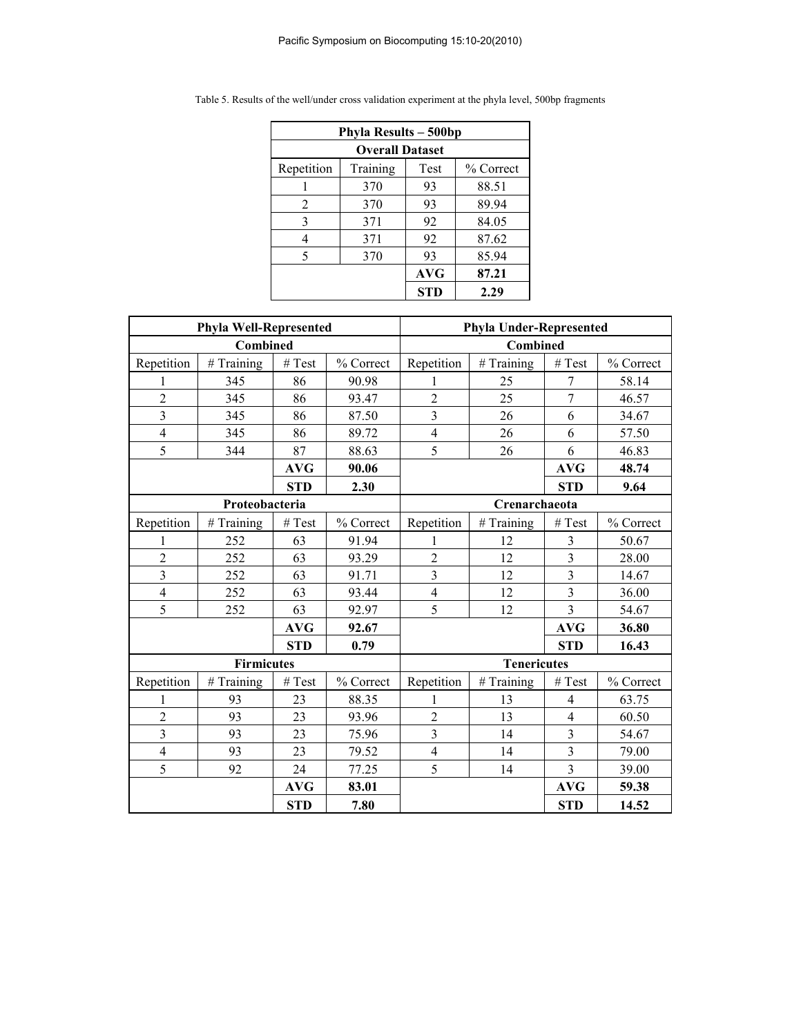| Phyla Results – 500bp                       |     |            |       |  |  |  |  |
|---------------------------------------------|-----|------------|-------|--|--|--|--|
| <b>Overall Dataset</b>                      |     |            |       |  |  |  |  |
| Training<br>% Correct<br>Repetition<br>Test |     |            |       |  |  |  |  |
|                                             | 370 | 93         | 88.51 |  |  |  |  |
| 2                                           | 370 | 93         | 89.94 |  |  |  |  |
| 3                                           | 371 | 92         | 84.05 |  |  |  |  |
| 4                                           | 371 | 92         | 87.62 |  |  |  |  |
| 5                                           | 370 | 93         | 85.94 |  |  |  |  |
|                                             |     | AVG        | 87.21 |  |  |  |  |
|                                             |     | <b>STD</b> | 2.29  |  |  |  |  |

Table 5. Results of the well/under cross validation experiment at the phyla level, 500bp fragments

|                | <b>Phyla Well-Represented</b> |            |             |                    | <b>Phyla Under-Represented</b> |                         |           |  |  |
|----------------|-------------------------------|------------|-------------|--------------------|--------------------------------|-------------------------|-----------|--|--|
|                | Combined                      |            |             |                    | <b>Combined</b>                |                         |           |  |  |
| Repetition     | # Training                    | # Test     | % Correct   | Repetition         | # Training                     | $\#$ Test               | % Correct |  |  |
| 1              | 345                           | 86         | 90.98       | 1                  | 25                             | $\overline{7}$          | 58.14     |  |  |
| $\overline{2}$ | 345                           | 86         | 93.47       | $\overline{2}$     | 25                             | 7                       | 46.57     |  |  |
| $\overline{3}$ | 345                           | 86         | 87.50       | 3                  | 26                             | 6                       | 34.67     |  |  |
| $\overline{4}$ | 345                           | 86         | 89.72       | $\overline{4}$     | 26                             | 6                       | 57.50     |  |  |
| 5              | 344                           | 87         | 88.63       | 5                  | 26                             | 6                       | 46.83     |  |  |
|                |                               | <b>AVG</b> | 90.06       |                    |                                | <b>AVG</b>              | 48.74     |  |  |
|                |                               | <b>STD</b> | 2.30        |                    |                                | <b>STD</b>              | 9.64      |  |  |
| Proteobacteria |                               |            |             | Crenarchaeota      |                                |                         |           |  |  |
| Repetition     | $#$ Training                  | # Test     | $%$ Correct | Repetition         | $#$ Training                   | $\#$ Test               | % Correct |  |  |
| 1              | 252                           | 63         | 91.94       | 1                  | 12                             | $\overline{\mathbf{3}}$ | 50.67     |  |  |
| $\overline{2}$ | 252                           | 63         | 93.29       | $\overline{2}$     | 12                             | $\overline{3}$          | 28.00     |  |  |
| $\overline{3}$ | 252                           | 63         | 91.71       | $\overline{3}$     | 12                             | $\overline{3}$          | 14.67     |  |  |
| $\overline{4}$ | 252                           | 63         | 93.44       | $\overline{4}$     | 12                             | $\overline{3}$          | 36.00     |  |  |
| 5              | 252                           | 63         | 92.97       | 5                  | 12                             | $\overline{3}$          | 54.67     |  |  |
|                |                               | <b>AVG</b> | 92.67       |                    |                                | <b>AVG</b>              | 36.80     |  |  |
|                |                               | <b>STD</b> | 0.79        |                    |                                | <b>STD</b>              | 16.43     |  |  |
|                | <b>Firmicutes</b>             |            |             | <b>Tenericutes</b> |                                |                         |           |  |  |
| Repetition     | $#$ Training                  | # Test     | % Correct   | Repetition         | $#$ Training                   | $\#$ Test               | % Correct |  |  |
| 1              | 93                            | 23         | 88.35       | 1                  | 13                             | $\overline{4}$          | 63.75     |  |  |
| $\overline{2}$ | 93                            | 23         | 93.96       | $\overline{2}$     | 13                             | $\overline{4}$          | 60.50     |  |  |
| $\overline{3}$ | 93                            | 23         | 75.96       | 3                  | 14                             | 3                       | 54.67     |  |  |
| $\overline{4}$ | 93                            | 23         | 79.52       | $\overline{4}$     | 14                             | $\overline{3}$          | 79.00     |  |  |
| 5              | 92                            | 24         | 77.25       | 5                  | 14                             | $\overline{3}$          | 39.00     |  |  |
|                |                               | <b>AVG</b> | 83.01       |                    |                                | <b>AVG</b>              | 59.38     |  |  |
|                |                               | <b>STD</b> | 7.80        |                    |                                | <b>STD</b>              | 14.52     |  |  |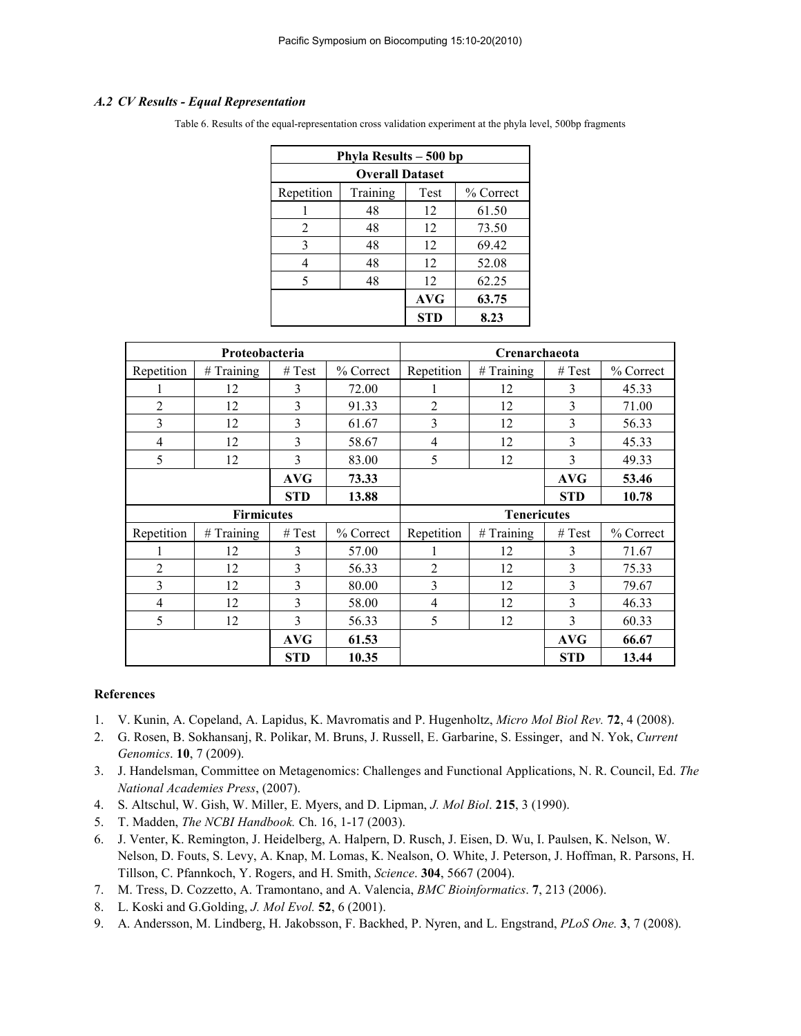# *A.2 CV Results - Equal Representation*

Table 6. Results of the equal-representation cross validation experiment at the phyla level, 500bp fragments

| Phyla Results – 500 bp                         |                        |            |       |  |  |  |  |  |
|------------------------------------------------|------------------------|------------|-------|--|--|--|--|--|
|                                                | <b>Overall Dataset</b> |            |       |  |  |  |  |  |
| Training<br>$\%$ Correct<br>Repetition<br>Test |                        |            |       |  |  |  |  |  |
|                                                | 48                     | 12         | 61.50 |  |  |  |  |  |
| 2                                              | 48                     | 12         | 73.50 |  |  |  |  |  |
| 3                                              | 48                     | 12         | 69.42 |  |  |  |  |  |
|                                                | 48                     | 12         | 52.08 |  |  |  |  |  |
| 5                                              | 48                     | 12         | 62.25 |  |  |  |  |  |
|                                                |                        | <b>AVG</b> | 63.75 |  |  |  |  |  |
|                                                |                        | <b>STD</b> | 8.23  |  |  |  |  |  |

|                | Proteobacteria    |            |             |                    | Crenarchaeota |            |           |  |
|----------------|-------------------|------------|-------------|--------------------|---------------|------------|-----------|--|
| Repetition     | $#$ Training      | # $Test$   | % Correct   | Repetition         | $#$ Training  | # Test     | % Correct |  |
| 1              | 12                | 3          | 72.00       |                    | 12            | 3          | 45.33     |  |
| $\overline{2}$ | 12                | 3          | 91.33       | $\overline{2}$     | 12            | 3          | 71.00     |  |
| 3              | 12                | 3          | 61.67       | 3                  | 12            | 3          | 56.33     |  |
| 4              | 12                | 3          | 58.67       | 4                  | 12            | 3          | 45.33     |  |
| 5              | 12                | 3          | 83.00       | 5                  | 12            | 3          | 49.33     |  |
|                |                   | AVG        | 73.33       |                    |               | <b>AVG</b> | 53.46     |  |
|                |                   | <b>STD</b> | 13.88       |                    |               | <b>STD</b> | 10.78     |  |
|                | <b>Firmicutes</b> |            |             | <b>Tenericutes</b> |               |            |           |  |
| Repetition     | # Training        | # Test     | $%$ Correct | Repetition         | $#$ Training  | # Test     | % Correct |  |
|                | 12                | 3          | 57.00       |                    | 12            | 3          | 71.67     |  |
| $\overline{2}$ | 12                | 3          | 56.33       | 2                  | 12            | 3          | 75.33     |  |
| 3              | 12                | 3          | 80.00       | 3                  | 12            | 3          | 79.67     |  |
| 4              | 12                | 3          | 58.00       | $\overline{4}$     | 12            | 3          | 46.33     |  |
| 5              | 12                | 3          | 56.33       | 5                  | 12            | 3          | 60.33     |  |
|                |                   | AVG        | 61.53       |                    |               | <b>AVG</b> | 66.67     |  |
|                |                   | <b>STD</b> | 10.35       |                    |               | <b>STD</b> | 13.44     |  |

## **References**

- 1. V. Kunin, A. Copeland, A. Lapidus, K. Mavromatis and P. Hugenholtz, *Micro Mol Biol Rev.* **72**, 4 (2008).
- 2. G. Rosen, B. Sokhansanj, R. Polikar, M. Bruns, J. Russell, E. Garbarine, S. Essinger, and N. Yok, *Current Genomics*. **10**, 7 (2009).
- 3. J. Handelsman, Committee on Metagenomics: Challenges and Functional Applications, N. R. Council, Ed. *The National Academies Press, (2007).*
- 4. S. Altschul, W. Gish, W. Miller, E. Myers, and D. Lipman, *J. Mol Biol*. **215**, 3 (1990).
- 5. T. Madden, *The \*CBI Handbook.* Ch. 16, 1-17 (2003).
- 6. J. Venter, K. Remington, J. Heidelberg, A. Halpern, D. Rusch, J. Eisen, D. Wu, I. Paulsen, K. Nelson, W. Nelson, D. Fouts, S. Levy, A. Knap, M. Lomas, K. Nealson, O. White, J. Peterson, J. Hoffman, R. Parsons, H. Tillson, C. Pfannkoch, Y. Rogers, and H. Smith, *Science*. **304**, 5667 (2004).
- 7. M. Tress, D. Cozzetto, A. Tramontano, and A. Valencia, *BMC Bioinformatics*. **7**, 213 (2006).
- 8. L. Koski and G.Golding, *J. Mol Evol.* **52**, 6 (2001).
- 9. A. Andersson, M. Lindberg, H. Jakobsson, F. Backhed, P. Nyren, and L. Engstrand, *PLoS One.* **3**, 7 (2008).